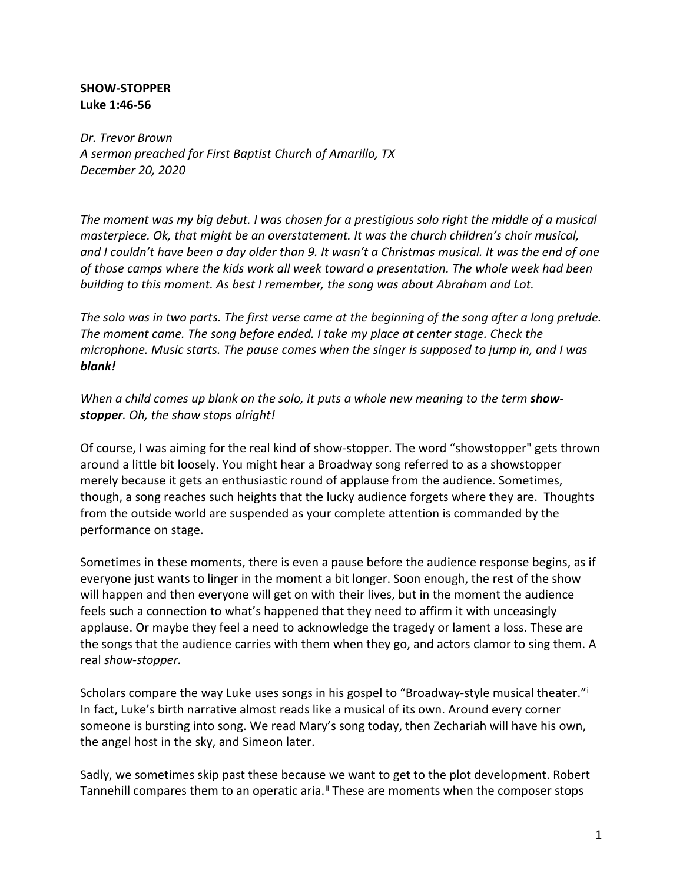## **SHOW-STOPPER Luke 1:46-56**

*Dr. Trevor Brown A sermon preached for First Baptist Church of Amarillo, TX December 20, 2020*

*The moment was my big debut. I was chosen for a prestigious solo right the middle of a musical masterpiece. Ok, that might be an overstatement. It was the church children's choir musical, and I couldn't have been a day older than 9. It wasn't a Christmas musical. It was the end of one of those camps where the kids work all week toward a presentation. The whole week had been building to this moment. As best I remember, the song was about Abraham and Lot.*

*The solo was in two parts. The first verse came at the beginning of the song after a long prelude. The moment came. The song before ended. I take my place at center stage. Check the microphone. Music starts. The pause comes when the singer is supposed to jump in, and I was blank!*

When a child comes up blank on the solo, it puts a whole new meaning to the term **show***stopper. Oh, the show stops alright!*

Of course, I was aiming for the real kind of show-stopper. The word "showstopper" gets thrown around a little bit loosely. You might hear a Broadway song referred to as a showstopper merely because it gets an enthusiastic round of applause from the audience. Sometimes, though, a song reaches such heights that the lucky audience forgets where they are. Thoughts from the outside world are suspended as your complete attention is commanded by the performance on stage.

Sometimes in these moments, there is even a pause before the audience response begins, as if everyone just wants to linger in the moment a bit longer. Soon enough, the rest of the show will happen and then everyone will get on with their lives, but in the moment the audience feels such a connection to what's happened that they need to affirm it with unceasingly applause. Or maybe they feel a need to acknowledge the tragedy or lament a loss. These are the songs that the audience carries with them when they go, and actors clamor to sing them. A real *show-stopper.*

Scholars compare the way Luke uses songs [i](#page-6-0)n his gospel to "Broadway-style musical theater." In fact, Luke's birth narrative almost reads like a musical of its own. Around every corner someone is bursting into song. We read Mary's song today, then Zechariah will have his own, the angel host in the sky, and Simeon later.

Sadly, we sometimes skip past these because we want to get to the plot development. Robert Tannehill compares them to an operatic aria.<sup>[ii](#page-6-1)</sup> These are moments when the composer stops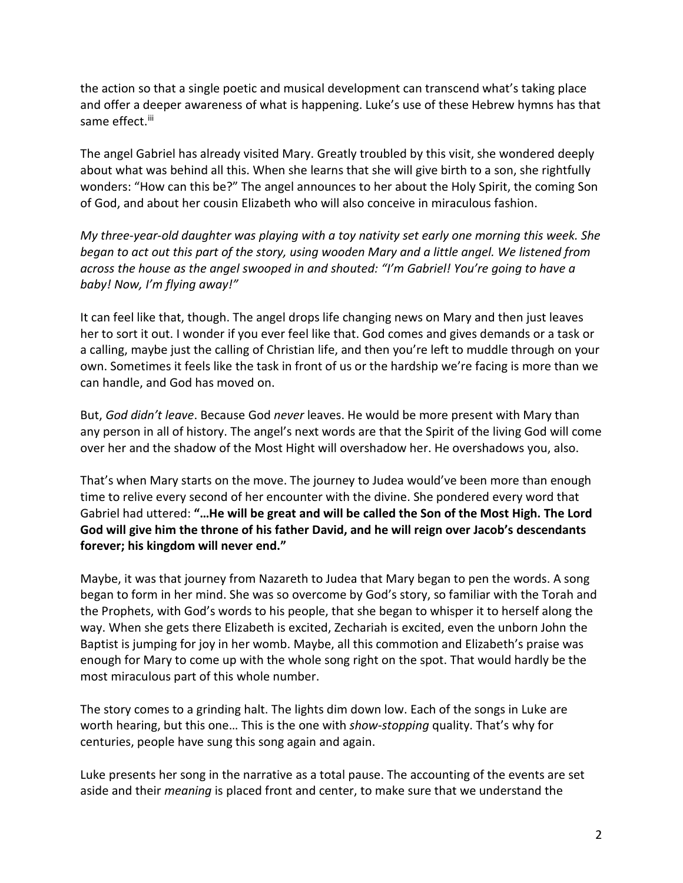the action so that a single poetic and musical development can transcend what's taking place and offer a deeper awareness of what is happening. Luke's use of these Hebrew hymns has that same effect.<sup>[iii](#page-6-2)</sup>

The angel Gabriel has already visited Mary. Greatly troubled by this visit, she wondered deeply about what was behind all this. When she learns that she will give birth to a son, she rightfully wonders: "How can this be?" The angel announces to her about the Holy Spirit, the coming Son of God, and about her cousin Elizabeth who will also conceive in miraculous fashion.

*My three-year-old daughter was playing with a toy nativity set early one morning this week. She began to act out this part of the story, using wooden Mary and a little angel. We listened from across the house as the angel swooped in and shouted: "I'm Gabriel! You're going to have a baby! Now, I'm flying away!"*

It can feel like that, though. The angel drops life changing news on Mary and then just leaves her to sort it out. I wonder if you ever feel like that. God comes and gives demands or a task or a calling, maybe just the calling of Christian life, and then you're left to muddle through on your own. Sometimes it feels like the task in front of us or the hardship we're facing is more than we can handle, and God has moved on.

But, *God didn't leave*. Because God *never* leaves. He would be more present with Mary than any person in all of history. The angel's next words are that the Spirit of the living God will come over her and the shadow of the Most Hight will overshadow her. He overshadows you, also.

That's when Mary starts on the move. The journey to Judea would've been more than enough time to relive every second of her encounter with the divine. She pondered every word that Gabriel had uttered: **"…He will be great and will be called the Son of the Most High. The Lord God will give him the throne of his father David, and he will reign over Jacob's descendants forever; his kingdom will never end."**

Maybe, it was that journey from Nazareth to Judea that Mary began to pen the words. A song began to form in her mind. She was so overcome by God's story, so familiar with the Torah and the Prophets, with God's words to his people, that she began to whisper it to herself along the way. When she gets there Elizabeth is excited, Zechariah is excited, even the unborn John the Baptist is jumping for joy in her womb. Maybe, all this commotion and Elizabeth's praise was enough for Mary to come up with the whole song right on the spot. That would hardly be the most miraculous part of this whole number.

The story comes to a grinding halt. The lights dim down low. Each of the songs in Luke are worth hearing, but this one… This is the one with *show-stopping* quality. That's why for centuries, people have sung this song again and again.

Luke presents her song in the narrative as a total pause. The accounting of the events are set aside and their *meaning* is placed front and center, to make sure that we understand the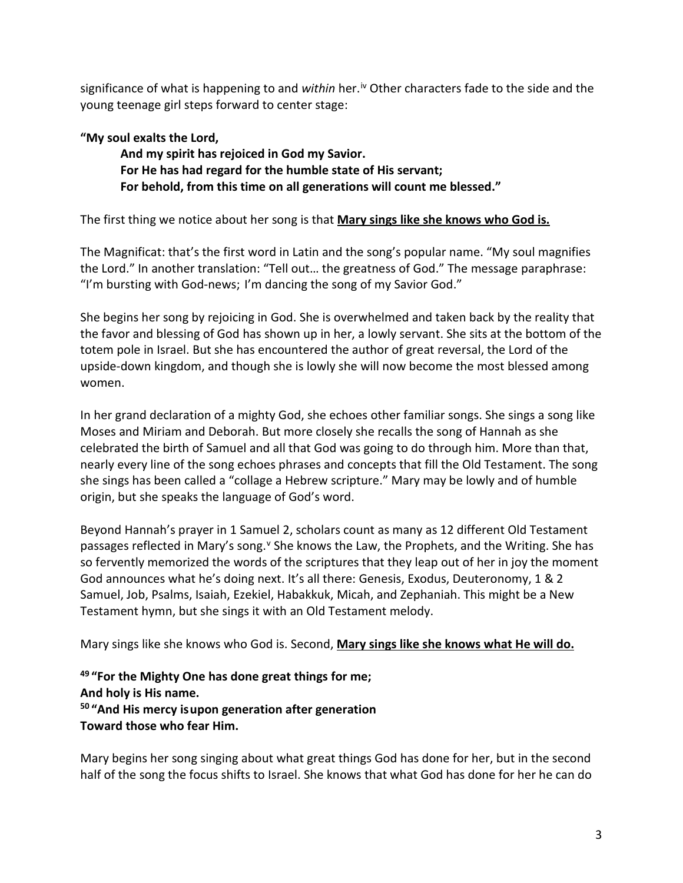significance of what is happening to and *within* her.<sup>[iv](#page-6-3)</sup> Other characters fade to the side and the young teenage girl steps forward to center stage:

## **"My soul exalts the Lord,**

**And my spirit has rejoiced in God my Savior. For He has had regard for the humble state of His servant; For behold, from this time on all generations will count me blessed."**

The first thing we notice about her song is that **Mary sings like she knows who God is.**

The Magnificat: that's the first word in Latin and the song's popular name. "My soul magnifies the Lord." In another translation: "Tell out… the greatness of God." The message paraphrase: "I'm bursting with God-news; I'm dancing the song of my Savior God."

She begins her song by rejoicing in God. She is overwhelmed and taken back by the reality that the favor and blessing of God has shown up in her, a lowly servant. She sits at the bottom of the totem pole in Israel. But she has encountered the author of great reversal, the Lord of the upside-down kingdom, and though she is lowly she will now become the most blessed among women.

In her grand declaration of a mighty God, she echoes other familiar songs. She sings a song like Moses and Miriam and Deborah. But more closely she recalls the song of Hannah as she celebrated the birth of Samuel and all that God was going to do through him. More than that, nearly every line of the song echoes phrases and concepts that fill the Old Testament. The song she sings has been called a "collage a Hebrew scripture." Mary may be lowly and of humble origin, but she speaks the language of God's word.

Beyond Hannah's prayer in 1 Samuel 2, scholars count as many as 12 different Old Testament passages reflected in Mary's song.<sup>[v](#page-6-4)</sup> She knows the Law, the Prophets, and the Writing. She has so fervently memorized the words of the scriptures that they leap out of her in joy the moment God announces what he's doing next. It's all there: Genesis, Exodus, Deuteronomy, 1 & 2 Samuel, Job, Psalms, Isaiah, Ezekiel, Habakkuk, Micah, and Zephaniah. This might be a New Testament hymn, but she sings it with an Old Testament melody.

Mary sings like she knows who God is. Second, **Mary sings like she knows what He will do.**

**<sup>49</sup> "For the Mighty One has done great things for me; And holy is His name. <sup>50</sup> "And His mercy isupon generation after generation Toward those who fear Him.**

Mary begins her song singing about what great things God has done for her, but in the second half of the song the focus shifts to Israel. She knows that what God has done for her he can do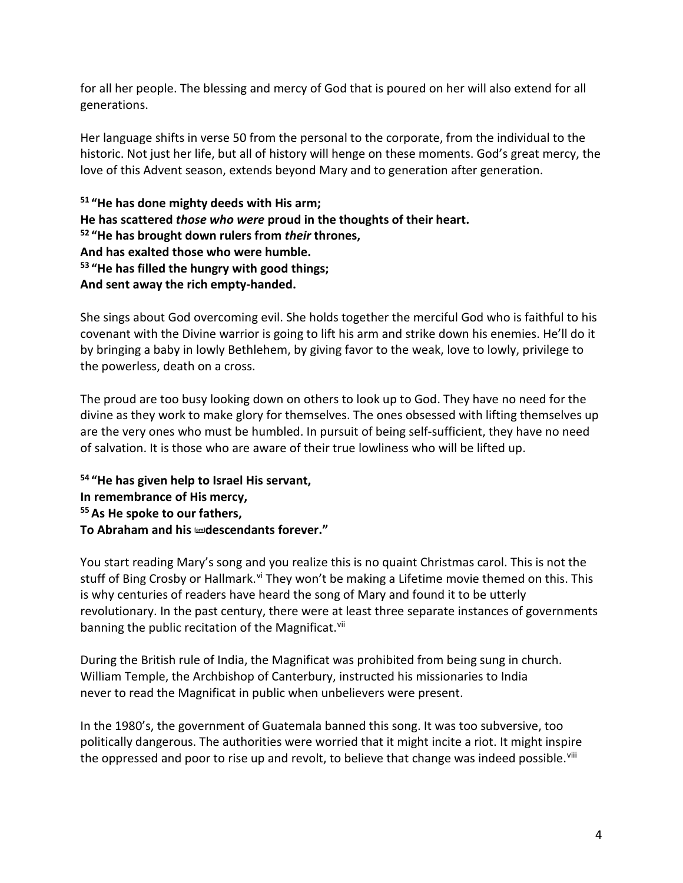for all her people. The blessing and mercy of God that is poured on her will also extend for all generations.

Her language shifts in verse 50 from the personal to the corporate, from the individual to the historic. Not just her life, but all of history will henge on these moments. God's great mercy, the love of this Advent season, extends beyond Mary and to generation after generation.

**<sup>51</sup> "He has done mighty deeds with His arm; He has scattered** *those who were* **proud in the thoughts of their heart. <sup>52</sup> "He has brought down rulers from** *their* **thrones, And has exalted those who were humble. <sup>53</sup> "He has filled the hungry with good things; And sent away the rich empty-handed.**

She sings about God overcoming evil. She holds together the merciful God who is faithful to his covenant with the Divine warrior is going to lift his arm and strike down his enemies. He'll do it by bringing a baby in lowly Bethlehem, by giving favor to the weak, love to lowly, privilege to the powerless, death on a cross.

The proud are too busy looking down on others to look up to God. They have no need for the divine as they work to make glory for themselves. The ones obsessed with lifting themselves up are the very ones who must be humbled. In pursuit of being self-sufficient, they have no need of salvation. It is those who are aware of their true lowliness who will be lifted up.

**<sup>54</sup> "He has given help to Israel His servant, In remembrance of His mercy, 55As He spoke to our fathers, To Abraham and his [\[am\]](https://www.biblegateway.com/passage/?search=Luke%201&version=NIV;MSG;NASB1995#fen-NASB1995-24949am) descendants forever."**

You start reading Mary's song and you realize this is no quaint Christmas carol. This is not the stuff of Bing Crosby or Hallmark.<sup>[vi](#page-6-5)</sup> They won't be making a Lifetime movie themed on this. This is why centuries of readers have heard the song of Mary and found it to be utterly revolutionary. In the past century, there were at least three separate instances of governments banning the public recitation of the Magnificat.<sup>vii</sup>

During the British rule of India, the Magnificat was prohibited from being sung in church. William Temple, the Archbishop of Canterbury, instructed his missionaries to India never to read the Magnificat in public when unbelievers were present.

In the 1980's, the government of Guatemala banned this song. It was too subversive, too politically dangerous. The authorities were worried that it might incite a riot. It might inspire the oppressed and poor to rise up and revolt, to believe that change was indeed possible.<sup>[viii](#page-6-7)</sup>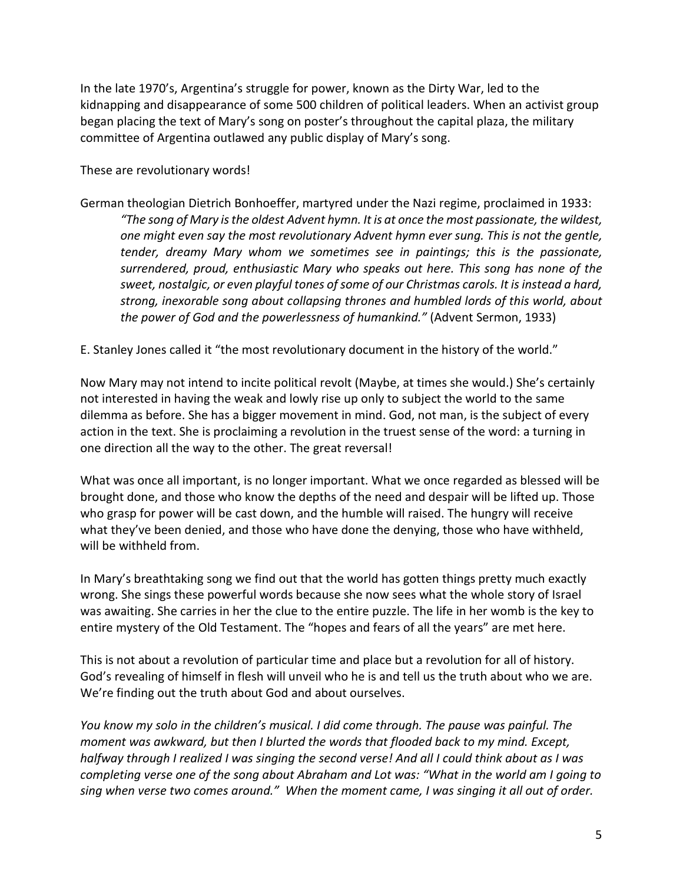In the late 1970's, Argentina's struggle for power, known as the Dirty War, led to the kidnapping and disappearance of some 500 children of political leaders. When an activist group began placing the text of Mary's song on poster's throughout the capital plaza, the military committee of Argentina outlawed any public display of Mary's song.

These are revolutionary words!

- German theologian Dietrich Bonhoeffer, martyred under the Nazi regime, proclaimed in 1933: *"The song of Mary is the oldest Advent hymn. It is at once the most passionate, the wildest, one might even say the most revolutionary Advent hymn ever sung. This is not the gentle, tender, dreamy Mary whom we sometimes see in paintings; this is the passionate, surrendered, proud, enthusiastic Mary who speaks out here. This song has none of the sweet, nostalgic, or even playful tones of some of our Christmas carols. It is instead a hard, strong, inexorable song about collapsing thrones and humbled lords of this world, about the power of God and the powerlessness of humankind."* (Advent Sermon, 1933)
- E. Stanley Jones called it "the most revolutionary document in the history of the world."

Now Mary may not intend to incite political revolt (Maybe, at times she would.) She's certainly not interested in having the weak and lowly rise up only to subject the world to the same dilemma as before. She has a bigger movement in mind. God, not man, is the subject of every action in the text. She is proclaiming a revolution in the truest sense of the word: a turning in one direction all the way to the other. The great reversal!

What was once all important, is no longer important. What we once regarded as blessed will be brought done, and those who know the depths of the need and despair will be lifted up. Those who grasp for power will be cast down, and the humble will raised. The hungry will receive what they've been denied, and those who have done the denying, those who have withheld, will be withheld from.

In Mary's breathtaking song we find out that the world has gotten things pretty much exactly wrong. She sings these powerful words because she now sees what the whole story of Israel was awaiting. She carries in her the clue to the entire puzzle. The life in her womb is the key to entire mystery of the Old Testament. The "hopes and fears of all the years" are met here.

This is not about a revolution of particular time and place but a revolution for all of history. God's revealing of himself in flesh will unveil who he is and tell us the truth about who we are. We're finding out the truth about God and about ourselves.

*You know my solo in the children's musical. I did come through. The pause was painful. The moment was awkward, but then I blurted the words that flooded back to my mind. Except, halfway through I realized I was singing the second verse! And all I could think about as I was completing verse one of the song about Abraham and Lot was: "What in the world am I going to sing when verse two comes around." When the moment came, I was singing it all out of order.*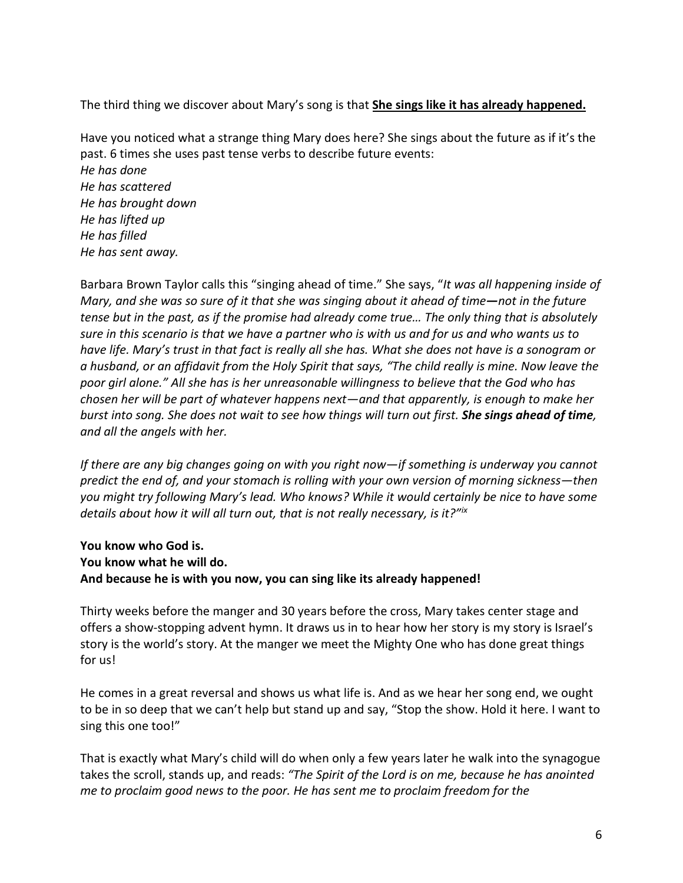The third thing we discover about Mary's song is that **She sings like it has already happened.**

Have you noticed what a strange thing Mary does here? She sings about the future as if it's the past. 6 times she uses past tense verbs to describe future events: *He has done He has scattered He has brought down He has lifted up He has filled He has sent away.*

Barbara Brown Taylor calls this "singing ahead of time." She says, "*It was all happening inside of Mary, and she was so sure of it that she was singing about it ahead of time—not in the future tense but in the past, as if the promise had already come true… The only thing that is absolutely sure in this scenario is that we have a partner who is with us and for us and who wants us to have life. Mary's trust in that fact is really all she has. What she does not have is a sonogram or a husband, or an affidavit from the Holy Spirit that says, "The child really is mine. Now leave the poor girl alone." All she has is her unreasonable willingness to believe that the God who has chosen her will be part of whatever happens next—and that apparently, is enough to make her*  burst into song. She does not wait to see how things will turn out first. She sings ahead of time, *and all the angels with her.*

*If there are any big changes going on with you right now—if something is underway you cannot predict the end of, and your stomach is rolling with your own version of morning sickness—then you might try following Mary's lead. Who knows? While it would certainly be nice to have some details about how it will all turn out, that is not really necessary, is it?"[ix](#page-6-8)*

## **You know who God is. You know what he will do. And because he is with you now, you can sing like its already happened!**

Thirty weeks before the manger and 30 years before the cross, Mary takes center stage and offers a show-stopping advent hymn. It draws us in to hear how her story is my story is Israel's story is the world's story. At the manger we meet the Mighty One who has done great things for us!

He comes in a great reversal and shows us what life is. And as we hear her song end, we ought to be in so deep that we can't help but stand up and say, "Stop the show. Hold it here. I want to sing this one too!"

That is exactly what Mary's child will do when only a few years later he walk into the synagogue takes the scroll, stands up, and reads: *"The Spirit of the Lord is on me, because he has anointed me to proclaim good news to the poor. He has sent me to proclaim freedom for the*